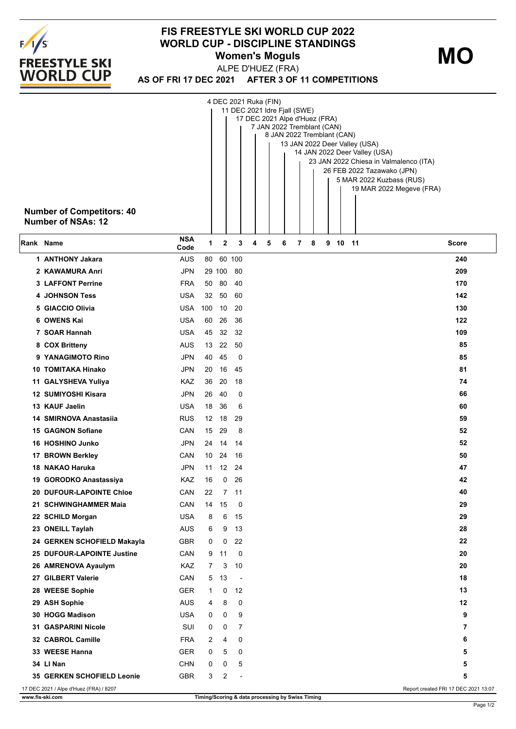

## **FIS FREESTYLE SKI WORLD CUP 2022 WORLD CUP - DISCIPLINE STANDINGS Women's Moguls**

**MO**

**AS OF FRI 17 DEC 2021 AFTER 3 OF 11 COMPETITIONS** ALPE D'HUEZ (FRA)

|           | <b>Number of Competitors: 40</b><br><b>Number of NSAs: 12</b> |                    |          |          |          | 4 DEC 2021 Ruka (FIN) | 11 DEC 2021 Idre Fjall (SWE)<br>17 DEC 2021 Alpe d'Huez (FRA)<br>7 JAN 2022 Tremblant (CAN)<br>8 JAN 2022 Tremblant (CAN) |   |   |   |       | 13 JAN 2022 Deer Valley (USA)<br>14 JAN 2022 Deer Valley (USA)<br>23 JAN 2022 Chiesa in Valmalenco (ITA)<br>26 FEB 2022 Tazawako (JPN)<br>5 MAR 2022 Kuzbass (RUS)<br>19 MAR 2022 Megeve (FRA) |          |
|-----------|---------------------------------------------------------------|--------------------|----------|----------|----------|-----------------------|---------------------------------------------------------------------------------------------------------------------------|---|---|---|-------|------------------------------------------------------------------------------------------------------------------------------------------------------------------------------------------------|----------|
| Rank Name |                                                               | <b>NSA</b><br>Code | 1        | 2        | 3        | 4                     | 5<br>6                                                                                                                    | 7 | 8 | 9 | 10 11 | Score                                                                                                                                                                                          |          |
|           | 1 ANTHONY Jakara                                              | <b>AUS</b>         | 80       |          | 60 100   |                       |                                                                                                                           |   |   |   |       |                                                                                                                                                                                                | 240      |
|           | 2 KAWAMURA Anri                                               | <b>JPN</b>         |          | 29 100   | 80       |                       |                                                                                                                           |   |   |   |       |                                                                                                                                                                                                | 209      |
|           | <b>3 LAFFONT Perrine</b>                                      | <b>FRA</b>         | 50       | -80      | 40       |                       |                                                                                                                           |   |   |   |       |                                                                                                                                                                                                | 170      |
|           | <b>4 JOHNSON Tess</b>                                         | <b>USA</b>         | 32       | 50       | 60       |                       |                                                                                                                           |   |   |   |       |                                                                                                                                                                                                | 142      |
|           | 5 GIACCIO Olivia                                              | <b>USA</b>         | 100      | 10       | 20       |                       |                                                                                                                           |   |   |   |       |                                                                                                                                                                                                | 130      |
|           | 6 OWENS Kai                                                   | <b>USA</b>         | 60       | 26       | 36       |                       |                                                                                                                           |   |   |   |       |                                                                                                                                                                                                | 122      |
|           | 7 SOAR Hannah                                                 | <b>USA</b>         | 45       | 32       | 32       |                       |                                                                                                                           |   |   |   |       |                                                                                                                                                                                                | 109      |
|           | 8 COX Britteny                                                | AUS                | 13       | 22       | 50       |                       |                                                                                                                           |   |   |   |       |                                                                                                                                                                                                | 85       |
|           | 9 YANAGIMOTO Rino                                             | <b>JPN</b>         | 40       | 45       | 0        |                       |                                                                                                                           |   |   |   |       |                                                                                                                                                                                                | 85       |
|           | 10 TOMITAKA Hinako                                            | <b>JPN</b><br>KAZ  | 20       | 16<br>20 | 45<br>18 |                       |                                                                                                                           |   |   |   |       |                                                                                                                                                                                                | 81<br>74 |
|           | 11 GALYSHEVA Yuliya<br>12 SUMIYOSHI Kisara                    | <b>JPN</b>         | 36<br>26 | 40       | 0        |                       |                                                                                                                           |   |   |   |       |                                                                                                                                                                                                | 66       |
|           | 13 KAUF Jaelin                                                | <b>USA</b>         | 18       | 36       | 6        |                       |                                                                                                                           |   |   |   |       |                                                                                                                                                                                                | 60       |
|           | 14 SMIRNOVA Anastasija                                        | <b>RUS</b>         | 12       | 18       | 29       |                       |                                                                                                                           |   |   |   |       |                                                                                                                                                                                                | 59       |
|           | <b>15 GAGNON Sofiane</b>                                      | CAN                | 15       | 29       | 8        |                       |                                                                                                                           |   |   |   |       |                                                                                                                                                                                                | 52       |
|           | 16 HOSHINO Junko                                              | <b>JPN</b>         | 24       | 14       | 14       |                       |                                                                                                                           |   |   |   |       |                                                                                                                                                                                                | 52       |
|           | 17 BROWN Berkley                                              | CAN                | 10       | 24       | 16       |                       |                                                                                                                           |   |   |   |       |                                                                                                                                                                                                | 50       |
|           | 18 NAKAO Haruka                                               | JPN                | 11       | 12       | 24       |                       |                                                                                                                           |   |   |   |       |                                                                                                                                                                                                | 47       |
|           | 19 GORODKO Anastassiya                                        | KAZ                | 16       | 0        | 26       |                       |                                                                                                                           |   |   |   |       |                                                                                                                                                                                                | 42       |
|           | <b>20 DUFOUR-LAPOINTE Chloe</b>                               | CAN                | 22       |          | 7 11     |                       |                                                                                                                           |   |   |   |       |                                                                                                                                                                                                | 40       |
|           | 21 SCHWINGHAMMER Maia                                         | CAN                | 14       | 15       | 0        |                       |                                                                                                                           |   |   |   |       |                                                                                                                                                                                                | 29       |
|           | 22 SCHILD Morgan                                              | <b>USA</b>         | 8        | 6        | 15       |                       |                                                                                                                           |   |   |   |       |                                                                                                                                                                                                | 29       |
|           | 23 ONEILL Taylah                                              | <b>AUS</b>         | 6        | 9        | 13       |                       |                                                                                                                           |   |   |   |       |                                                                                                                                                                                                | 28       |
|           | 24 GERKEN SCHOFIELD Makayla                                   | GBR                | 0        | 0        | 22       |                       |                                                                                                                           |   |   |   |       |                                                                                                                                                                                                | 22       |
|           | 25 DUFOUR-LAPOINTE Justine                                    | CAN                | 9        | 11       | 0        |                       |                                                                                                                           |   |   |   |       |                                                                                                                                                                                                | 20       |
|           | 26 AMRENOVA Ayaulym                                           | KAZ                | 7        | 3        | 10       |                       |                                                                                                                           |   |   |   |       |                                                                                                                                                                                                | 20       |
|           | 27 GILBERT Valerie                                            | CAN                | 5        | 13       | $\sim$   |                       |                                                                                                                           |   |   |   |       |                                                                                                                                                                                                | 18       |
|           | 28 WEESE Sophie                                               | <b>GER</b>         | 1        | 0        | 12       |                       |                                                                                                                           |   |   |   |       |                                                                                                                                                                                                | 13       |
|           | 29 ASH Sophie                                                 | <b>AUS</b>         | 4        | 8        | 0        |                       |                                                                                                                           |   |   |   |       |                                                                                                                                                                                                | 12       |
|           | 30 HOGG Madison                                               | <b>USA</b>         | 0        | 0        | 9        |                       |                                                                                                                           |   |   |   |       |                                                                                                                                                                                                | 9        |
|           | 31 GASPARINI Nicole                                           | SUI                | 0        | 0        | 7        |                       |                                                                                                                           |   |   |   |       |                                                                                                                                                                                                | 7        |
|           | 32 CABROL Camille                                             | <b>FRA</b>         | 2        | 4        | 0        |                       |                                                                                                                           |   |   |   |       |                                                                                                                                                                                                | 6        |
|           | 33 WEESE Hanna                                                | <b>GER</b>         | 0        | 5        | 0        |                       |                                                                                                                           |   |   |   |       |                                                                                                                                                                                                | 5        |
|           | 34 LI Nan                                                     | <b>CHN</b>         | 0        | 0        | 5        |                       |                                                                                                                           |   |   |   |       |                                                                                                                                                                                                | 5        |
|           | 35 GERKEN SCHOFIELD Leonie                                    | <b>GBR</b>         | 3        | 2        |          |                       |                                                                                                                           |   |   |   |       |                                                                                                                                                                                                | 5        |
|           | 17 DEC 2021 / Alpe d'Huez (FRA) / 8207                        |                    |          |          |          |                       |                                                                                                                           |   |   |   |       | Report created FRI 17 DEC 2021 13:07                                                                                                                                                           |          |